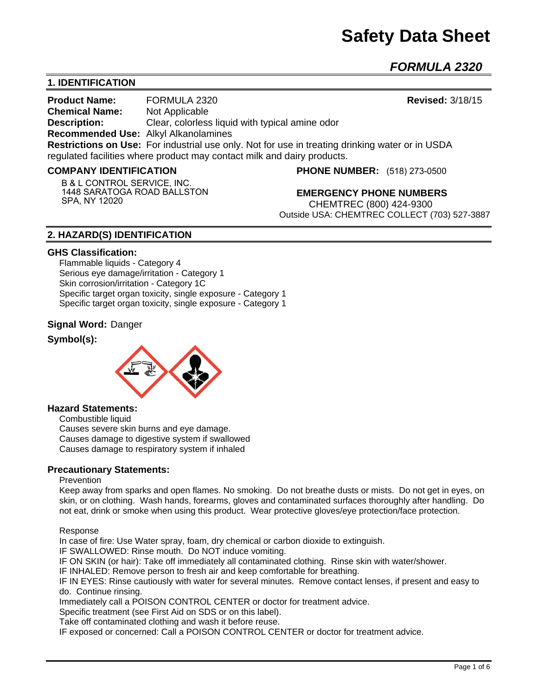*FORMULA 2320* 

# **1. IDENTIFICATION**

**Product Name:** FORMULA 2320 **Revised:** 3/18/15 **Chemical Name:** Not Applicable **Description:** Clear, colorless liquid with typical amine odor **Recommended Use:** Alkyl Alkanolamines **Restrictions on Use:** For industrial use only. Not for use in treating drinking water or in USDA regulated facilities where product may contact milk and dairy products.

#### **COMPANY IDENTIFICATION**

**B & L CONTROL SERVICE, INC. 1448 SARATOGA ROAD BALLSTON SPA, NY 12020**

**PHONE NUMBER:** (518) 273-0500

**EMERGENCY PHONE NUMBERS** CHEMTREC (800) 424-9300 Outside USA: CHEMTREC COLLECT (703) 527-3887

# **2. HAZARD(S) IDENTIFICATION**

#### **GHS Classification:**

Flammable liquids - Category 4 Serious eye damage/irritation - Category 1 Skin corrosion/irritation - Category 1C Specific target organ toxicity, single exposure - Category 1 Specific target organ toxicity, single exposure - Category 1

#### **Signal Word:** Danger

#### **Symbol(s):**



#### **Hazard Statements:**

Combustible liquid Causes severe skin burns and eye damage. Causes damage to digestive system if swallowed Causes damage to respiratory system if inhaled

## **Precautionary Statements:**

#### **Prevention**

Keep away from sparks and open flames. No smoking. Do not breathe dusts or mists. Do not get in eyes, on skin, or on clothing. Wash hands, forearms, gloves and contaminated surfaces thoroughly after handling. Do not eat, drink or smoke when using this product. Wear protective gloves/eye protection/face protection.

#### Response

In case of fire: Use Water spray, foam, dry chemical or carbon dioxide to extinguish.

IF SWALLOWED: Rinse mouth. Do NOT induce vomiting.

IF ON SKIN (or hair): Take off immediately all contaminated clothing. Rinse skin with water/shower.

IF INHALED: Remove person to fresh air and keep comfortable for breathing.

IF IN EYES: Rinse cautiously with water for several minutes. Remove contact lenses, if present and easy to do. Continue rinsing.

Immediately call a POISON CONTROL CENTER or doctor for treatment advice.

Specific treatment (see First Aid on SDS or on this label).

Take off contaminated clothing and wash it before reuse.

IF exposed or concerned: Call a POISON CONTROL CENTER or doctor for treatment advice.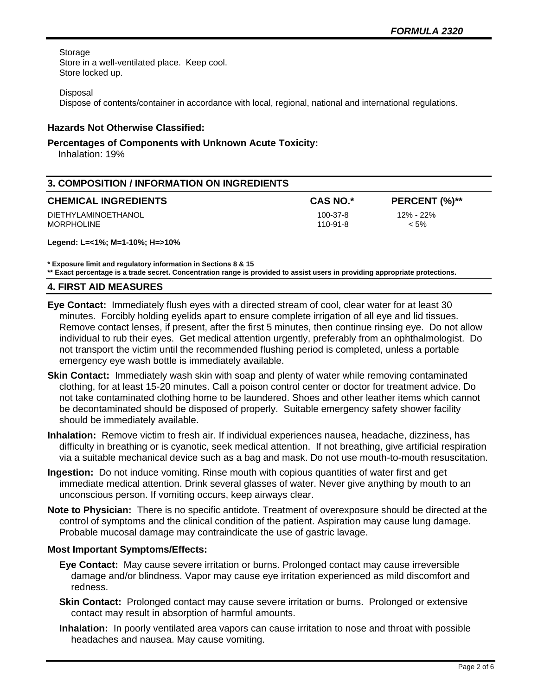Storage

Store in a well-ventilated place. Keep cool. Store locked up.

Disposal

Dispose of contents/container in accordance with local, regional, national and international regulations.

# **Hazards Not Otherwise Classified:**

## **Percentages of Components with Unknown Acute Toxicity:**

Inhalation: 19%

| <b>3. COMPOSITION / INFORMATION ON INGREDIENTS</b> |                      |                      |
|----------------------------------------------------|----------------------|----------------------|
| <b>CHEMICAL INGREDIENTS</b>                        | <b>CAS NO.*</b>      | PERCENT (%)**        |
| DIETHYLAMINOETHANOL<br>MORPHOLINE                  | 100-37-8<br>110-91-8 | 12% - 22%<br>$< 5\%$ |

**Legend: L=<1%; M=1-10%; H=>10%**

**\* Exposure limit and regulatory information in Sections 8 & 15**

**\*\* Exact percentage is a trade secret. Concentration range is provided to assist users in providing appropriate protections.**

#### **4. FIRST AID MEASURES**

- **Eye Contact:** Immediately flush eyes with a directed stream of cool, clear water for at least 30 minutes. Forcibly holding eyelids apart to ensure complete irrigation of all eye and lid tissues. Remove contact lenses, if present, after the first 5 minutes, then continue rinsing eye. Do not allow individual to rub their eyes. Get medical attention urgently, preferably from an ophthalmologist. Do not transport the victim until the recommended flushing period is completed, unless a portable emergency eye wash bottle is immediately available.
- **Skin Contact:** Immediately wash skin with soap and plenty of water while removing contaminated clothing, for at least 15-20 minutes. Call a poison control center or doctor for treatment advice. Do not take contaminated clothing home to be laundered. Shoes and other leather items which cannot be decontaminated should be disposed of properly. Suitable emergency safety shower facility should be immediately available.
- **Inhalation:** Remove victim to fresh air. If individual experiences nausea, headache, dizziness, has difficulty in breathing or is cyanotic, seek medical attention. If not breathing, give artificial respiration via a suitable mechanical device such as a bag and mask. Do not use mouth-to-mouth resuscitation.
- **Ingestion:** Do not induce vomiting. Rinse mouth with copious quantities of water first and get immediate medical attention. Drink several glasses of water. Never give anything by mouth to an unconscious person. If vomiting occurs, keep airways clear.
- **Note to Physician:** There is no specific antidote. Treatment of overexposure should be directed at the control of symptoms and the clinical condition of the patient. Aspiration may cause lung damage. Probable mucosal damage may contraindicate the use of gastric lavage.

#### **Most Important Symptoms/Effects:**

- **Eye Contact:** May cause severe irritation or burns. Prolonged contact may cause irreversible damage and/or blindness. Vapor may cause eye irritation experienced as mild discomfort and redness.
- **Skin Contact:** Prolonged contact may cause severe irritation or burns. Prolonged or extensive contact may result in absorption of harmful amounts.
- **Inhalation:** In poorly ventilated area vapors can cause irritation to nose and throat with possible headaches and nausea. May cause vomiting.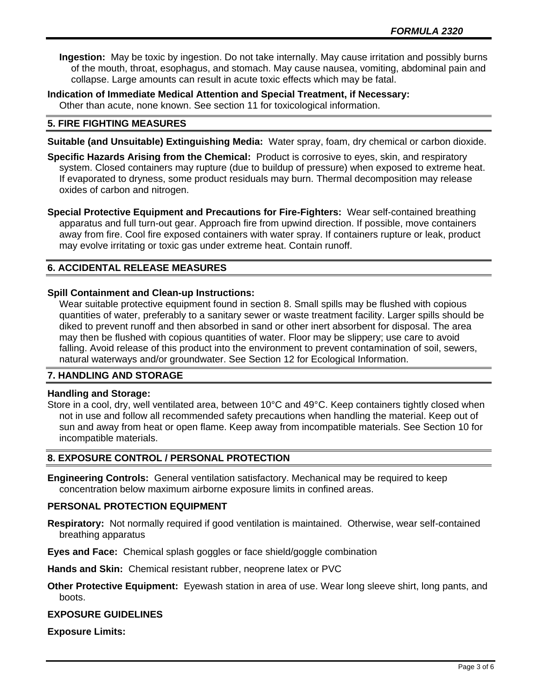**Ingestion:** May be toxic by ingestion. Do not take internally. May cause irritation and possibly burns of the mouth, throat, esophagus, and stomach. May cause nausea, vomiting, abdominal pain and collapse. Large amounts can result in acute toxic effects which may be fatal.

**Indication of Immediate Medical Attention and Special Treatment, if Necessary:** Other than acute, none known. See section 11 for toxicological information.

# **5. FIRE FIGHTING MEASURES**

**Suitable (and Unsuitable) Extinguishing Media:** Water spray, foam, dry chemical or carbon dioxide.

**Specific Hazards Arising from the Chemical:** Product is corrosive to eyes, skin, and respiratory system. Closed containers may rupture (due to buildup of pressure) when exposed to extreme heat. If evaporated to dryness, some product residuals may burn. Thermal decomposition may release oxides of carbon and nitrogen.

**Special Protective Equipment and Precautions for Fire-Fighters:** Wear self-contained breathing apparatus and full turn-out gear. Approach fire from upwind direction. If possible, move containers away from fire. Cool fire exposed containers with water spray. If containers rupture or leak, product may evolve irritating or toxic gas under extreme heat. Contain runoff.

# **6. ACCIDENTAL RELEASE MEASURES**

# **Spill Containment and Clean-up Instructions:**

Wear suitable protective equipment found in section 8. Small spills may be flushed with copious quantities of water, preferably to a sanitary sewer or waste treatment facility. Larger spills should be diked to prevent runoff and then absorbed in sand or other inert absorbent for disposal. The area may then be flushed with copious quantities of water. Floor may be slippery; use care to avoid falling. Avoid release of this product into the environment to prevent contamination of soil, sewers, natural waterways and/or groundwater. See Section 12 for Ecological Information.

# **7. HANDLING AND STORAGE**

#### **Handling and Storage:**

Store in a cool, dry, well ventilated area, between 10°C and 49°C. Keep containers tightly closed when not in use and follow all recommended safety precautions when handling the material. Keep out of sun and away from heat or open flame. Keep away from incompatible materials. See Section 10 for incompatible materials.

#### **8. EXPOSURE CONTROL / PERSONAL PROTECTION**

**Engineering Controls:** General ventilation satisfactory. Mechanical may be required to keep concentration below maximum airborne exposure limits in confined areas.

#### **PERSONAL PROTECTION EQUIPMENT**

**Respiratory:** Not normally required if good ventilation is maintained. Otherwise, wear self-contained breathing apparatus

**Eyes and Face:** Chemical splash goggles or face shield/goggle combination

**Hands and Skin:** Chemical resistant rubber, neoprene latex or PVC

**Other Protective Equipment:** Eyewash station in area of use. Wear long sleeve shirt, long pants, and boots.

#### **EXPOSURE GUIDELINES**

**Exposure Limits:**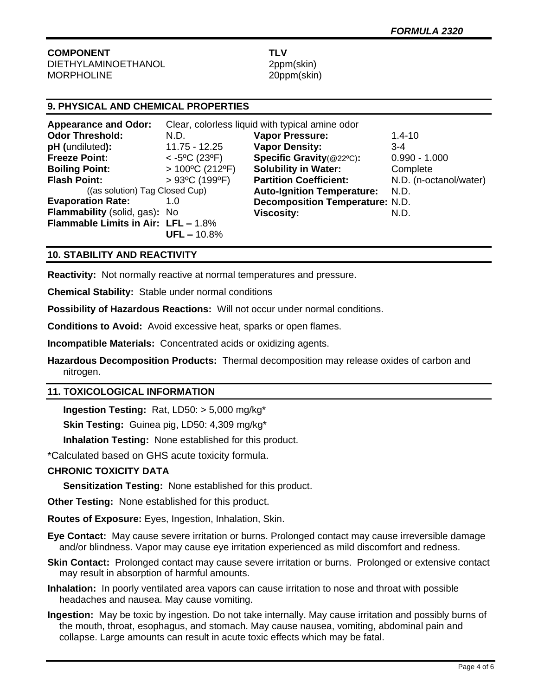#### **COMPONENT TLV** DIETHYLAMINOETHANOL 2ppm(skin) MORPHOLINE 20ppm(skin)

# **9. PHYSICAL AND CHEMICAL PROPERTIES**

| <b>Appearance and Odor:</b>                | Clear, colorless liquid with typical amine odor |                                        |                        |
|--------------------------------------------|-------------------------------------------------|----------------------------------------|------------------------|
| <b>Odor Threshold:</b>                     | N.D.                                            | <b>Vapor Pressure:</b>                 | $1.4 - 10$             |
| pH (undiluted):                            | 11.75 - 12.25                                   | <b>Vapor Density:</b>                  | $3-4$                  |
| <b>Freeze Point:</b>                       | $<$ -5°C (23°F)                                 | Specific Gravity(@22°C):               | $0.990 - 1.000$        |
| <b>Boiling Point:</b>                      | $>100^{\circ}$ C (212°F)                        | <b>Solubility in Water:</b>            | Complete               |
| <b>Flash Point:</b>                        | $>93^{\circ}$ C (199 $^{\circ}$ F)              | <b>Partition Coefficient:</b>          | N.D. (n-octanol/water) |
| ((as solution) Tag Closed Cup)             |                                                 | <b>Auto-Ignition Temperature:</b>      | N.D.                   |
| <b>Evaporation Rate:</b>                   | 1.0                                             | <b>Decomposition Temperature: N.D.</b> |                        |
| Flammability (solid, gas): No              |                                                 | <b>Viscosity:</b>                      | N.D.                   |
| <b>Flammable Limits in Air: LFL - 1.8%</b> |                                                 |                                        |                        |
|                                            | $UFL - 10.8%$                                   |                                        |                        |

# **10. STABILITY AND REACTIVITY**

**Reactivity:** Not normally reactive at normal temperatures and pressure.

**Chemical Stability:** Stable under normal conditions

**Possibility of Hazardous Reactions:** Will not occur under normal conditions.

**Conditions to Avoid:** Avoid excessive heat, sparks or open flames.

**Incompatible Materials:** Concentrated acids or oxidizing agents.

**Hazardous Decomposition Products:** Thermal decomposition may release oxides of carbon and nitrogen.

# **11. TOXICOLOGICAL INFORMATION**

**Ingestion Testing:** Rat, LD50: > 5,000 mg/kg\*

**Skin Testing:** Guinea pig, LD50: 4,309 mg/kg\*

**Inhalation Testing:** None established for this product.

\*Calculated based on GHS acute toxicity formula.

# **CHRONIC TOXICITY DATA**

**Sensitization Testing:** None established for this product.

**Other Testing:** None established for this product.

**Routes of Exposure:** Eyes, Ingestion, Inhalation, Skin.

- **Eye Contact:** May cause severe irritation or burns. Prolonged contact may cause irreversible damage and/or blindness. Vapor may cause eye irritation experienced as mild discomfort and redness.
- **Skin Contact:** Prolonged contact may cause severe irritation or burns. Prolonged or extensive contact may result in absorption of harmful amounts.
- **Inhalation:** In poorly ventilated area vapors can cause irritation to nose and throat with possible headaches and nausea. May cause vomiting.
- **Ingestion:** May be toxic by ingestion. Do not take internally. May cause irritation and possibly burns of the mouth, throat, esophagus, and stomach. May cause nausea, vomiting, abdominal pain and collapse. Large amounts can result in acute toxic effects which may be fatal.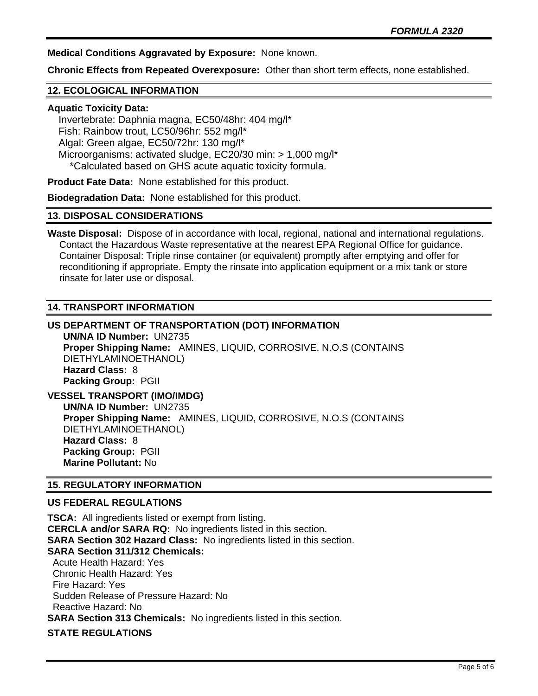**Medical Conditions Aggravated by Exposure:** None known.

**Chronic Effects from Repeated Overexposure:** Other than short term effects, none established.

## **12. ECOLOGICAL INFORMATION**

#### **Aquatic Toxicity Data:**

 Invertebrate: Daphnia magna, EC50/48hr: 404 mg/l\* Fish: Rainbow trout, LC50/96hr: 552 mg/l\* Algal: Green algae, EC50/72hr: 130 mg/l\* Microorganisms: activated sludge, EC20/30 min: > 1,000 mg/l\* \*Calculated based on GHS acute aquatic toxicity formula.

**Product Fate Data:** None established for this product.

**Biodegradation Data:** None established for this product.

# **13. DISPOSAL CONSIDERATIONS**

**Waste Disposal:** Dispose of in accordance with local, regional, national and international regulations. Contact the Hazardous Waste representative at the nearest EPA Regional Office for guidance. Container Disposal: Triple rinse container (or equivalent) promptly after emptying and offer for reconditioning if appropriate. Empty the rinsate into application equipment or a mix tank or store rinsate for later use or disposal.

# **14. TRANSPORT INFORMATION**

**US DEPARTMENT OF TRANSPORTATION (DOT) INFORMATION UN/NA ID Number:** UN2735 **Proper Shipping Name:** AMINES, LIQUID, CORROSIVE, N.O.S (CONTAINS DIETHYLAMINOETHANOL) **Hazard Class:** 8 **Packing Group:** PGII **VESSEL TRANSPORT (IMO/IMDG)**

**UN/NA ID Number:** UN2735 **Proper Shipping Name:** AMINES, LIQUID, CORROSIVE, N.O.S (CONTAINS DIETHYLAMINOETHANOL) **Hazard Class:** 8 **Packing Group:** PGII **Marine Pollutant:** No

#### **15. REGULATORY INFORMATION**

#### **US FEDERAL REGULATIONS**

**TSCA:** All ingredients listed or exempt from listing. **CERCLA and/or SARA RQ:** No ingredients listed in this section. **SARA Section 302 Hazard Class:** No ingredients listed in this section. **SARA Section 311/312 Chemicals:**  Acute Health Hazard: Yes Chronic Health Hazard: Yes Fire Hazard: Yes Sudden Release of Pressure Hazard: No Reactive Hazard: No **SARA Section 313 Chemicals:** No ingredients listed in this section. **STATE REGULATIONS**